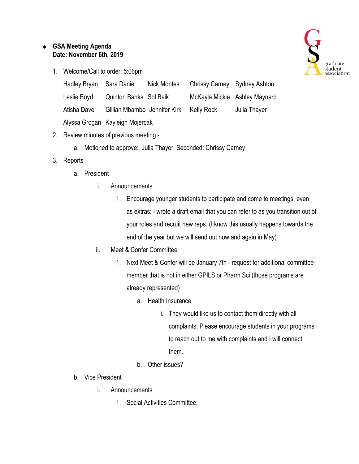## ❖ **GSA Meeting Agenda Date: November 6th, 2019**

1. Welcome/Call to order: 5:06pm

| Hadley Bryan | Sara Daniel                     | <b>Nick Montes</b> | Chrissy Carney Sydney Ashton |                               |
|--------------|---------------------------------|--------------------|------------------------------|-------------------------------|
| Leslie Boyd  | Quinton Banks Sol Baik          |                    |                              | McKayla Mickie Ashley Maynard |
| Atisha Dave  | Gillian Mbambo Jennifer Kirk    |                    | Kelly Rock                   | Julia Thayer                  |
|              | Alyssa Grogan Kayleigh Mojercak |                    |                              |                               |

- 2. Review minutes of previous meeting
	- a. Motioned to approve: Julia Thayer, Seconded: Chrissy Carney
- 3. Reports
	- a. President
		- i. Announcements
			- 1. Encourage younger students to participate and come to meetings, even as extras: I wrote a draft email that you can refer to as you transition out of your roles and recruit new reps. (I know this usually happens towards the end of the year but we will send out now and again in May)
		- ii. Meet & Confer Committee
			- 1. Next Meet & Confer will be January 7th request for additional committee member that is not in either GPILS or Pharm Sci (those programs are already represented)
				- a. Health Insurance
					- i. They would like us to contact them directly with all complaints. Please encourage students in your programs to reach out to me with complaints and I will connect them.
				- b. Other issues?
	- b. Vice President
		- i. Announcements
			- 1. Social Activities Committee:

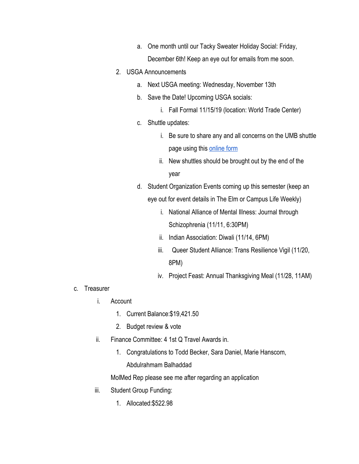- a. One month until our Tacky Sweater Holiday Social: Friday, December 6th! Keep an eye out for emails from me soon.
- 2. USGA Announcements
	- a. Next USGA meeting: Wednesday, November 13th
	- b. Save the Date! Upcoming USGA socials:
		- i. Fall Formal 11/15/19 (location: World Trade Center)
	- c. Shuttle updates:
		- i. Be sure to share any and all concerns on the UMB shuttle page using this [online form](https://www.umaryland.edu/shuttlebus/suggestions/)
		- ii. New shuttles should be brought out by the end of the year
	- d. Student Organization Events coming up this semester (keep an eye out for event details in The Elm or Campus Life Weekly)
		- i. National Alliance of Mental Illness: Journal through Schizophrenia (11/11, 6:30PM)
		- ii. Indian Association: Diwali (11/14, 6PM)
		- iii. Queer Student Alliance: Trans Resilience Vigil (11/20, 8PM)
		- iv. Project Feast: Annual Thanksgiving Meal (11/28, 11AM)

- c. Treasurer
	- i. Account
		- 1. Current Balance:\$19,421.50
		- 2. Budget review & vote
	- ii. Finance Committee: 4 1st Q Travel Awards in.
		- 1. Congratulations to Todd Becker, Sara Daniel, Marie Hanscom, Abdulrahmam Balhaddad

MolMed Rep please see me after regarding an application

- iii. Student Group Funding:
	- 1. Allocated:\$522.98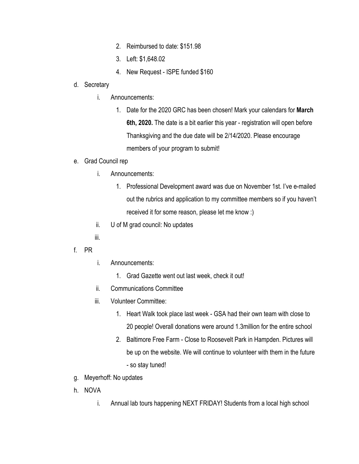- 2. Reimbursed to date: \$151.98
- 3. Left: \$1,648.02
- 4. New Request ISPE funded \$160

## d. Secretary

- i. Announcements:
	- 1. Date for the 2020 GRC has been chosen! Mark your calendars for **March 6th, 2020.** The date is a bit earlier this year - registration will open before Thanksgiving and the due date will be 2/14/2020. Please encourage members of your program to submit!

## e. Grad Council rep

- i. Announcements:
	- 1. Professional Development award was due on November 1st. I've e-mailed out the rubrics and application to my committee members so if you haven't received it for some reason, please let me know :)
- ii. U of M grad council: No updates
- iii.

## f. PR

- i. Announcements:
	- 1. Grad Gazette went out last week, check it out!
- ii. Communications Committee
- iii. Volunteer Committee:
	- 1. Heart Walk took place last week GSA had their own team with close to 20 people! Overall donations were around 1.3million for the entire school
	- 2. Baltimore Free Farm Close to Roosevelt Park in Hampden. Pictures will be up on the website. We will continue to volunteer with them in the future - so stay tuned!
- g. Meyerhoff: No updates
- h. NOVA
	- i. Annual lab tours happening NEXT FRIDAY! Students from a local high school